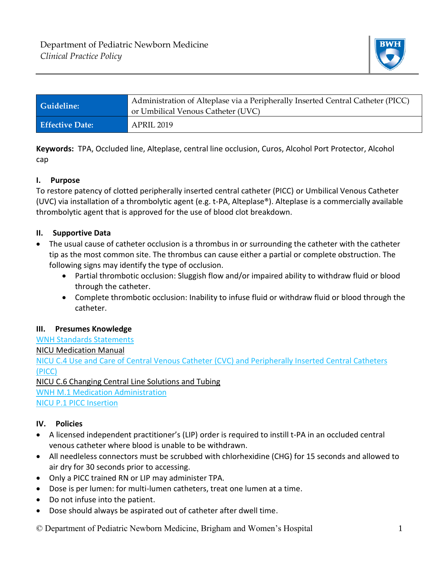

| <b>Guideline:</b>      | Administration of Alteplase via a Peripherally Inserted Central Catheter (PICC) |
|------------------------|---------------------------------------------------------------------------------|
|                        | or Umbilical Venous Catheter (UVC)                                              |
| <b>Effective Date:</b> | APRIL 2019                                                                      |

**Keywords:** TPA, Occluded line, Alteplase, central line occlusion, Curos, Alcohol Port Protector, Alcohol cap

## **I. Purpose**

To restore patency of clotted peripherally inserted central catheter (PICC) or Umbilical Venous Catheter (UVC) via installation of a thrombolytic agent (e.g. t-PA, Alteplase®). Alteplase is a commercially available thrombolytic agent that is approved for the use of blood clot breakdown.

## **II. Supportive Data**

- The usual cause of catheter occlusion is a thrombus in or surrounding the catheter with the catheter tip as the most common site. The thrombus can cause either a partial or complete obstruction. The following signs may identify the type of occlusion.
	- Partial thrombotic occlusion: Sluggish flow and/or impaired ability to withdraw fluid or blood through the catheter.
	- Complete thrombotic occlusion: Inability to infuse fluid or withdraw fluid or blood through the catheter.

## **III. Presumes Knowledge**

[WNH Standards Statements](https://hospitalpolicies.ellucid.com/documents/view/9474/12519/) NICU Medication Manual [NICU C.4 Use and Care of Central Venous Catheter \(CVC\) and Peripherally Inserted](https://hospitalpolicies.ellucid.com/documents/view/3197/3281/) Central Catheters [\(PICC\)](https://hospitalpolicies.ellucid.com/documents/view/3197/3281/) NICU C.6 Changing Central Line Solutions and Tubing

WNH [M.1 Medication Administration](https://hospitalpolicies.ellucid.com/documents/view/3292/12516/) [NICU P.1 PICC Insertion](https://hospitalpolicies.ellucid.com/documents/view/3224/12528/)

# **IV. Policies**

- A licensed independent practitioner's (LIP) order is required to instill t-PA in an occluded central venous catheter where blood is unable to be withdrawn.
- All needleless connectors must be scrubbed with chlorhexidine (CHG) for 15 seconds and allowed to air dry for 30 seconds prior to accessing.
- Only a PICC trained RN or LIP may administer TPA.
- Dose is per lumen: for multi-lumen catheters, treat one lumen at a time.
- Do not infuse into the patient.
- Dose should always be aspirated out of catheter after dwell time.
- © Department of Pediatric Newborn Medicine, Brigham and Women's Hospital 1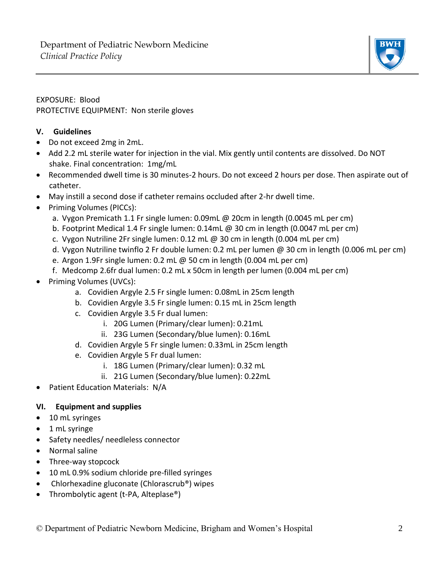

# EXPOSURE: Blood PROTECTIVE EQUIPMENT: Non sterile gloves

## **V. Guidelines**

- Do not exceed 2mg in 2mL.
- Add 2.2 mL sterile water for injection in the vial. Mix gently until contents are dissolved. Do NOT shake. Final concentration: 1mg/mL
- Recommended dwell time is 30 minutes-2 hours. Do not exceed 2 hours per dose. Then aspirate out of catheter.
- May instill a second dose if catheter remains occluded after 2-hr dwell time.
- Priming Volumes (PICCs):
	- a. Vygon Premicath 1.1 Fr single lumen: 0.09mL @ 20cm in length (0.0045 mL per cm)
	- b. Footprint Medical 1.4 Fr single lumen: 0.14mL @ 30 cm in length (0.0047 mL per cm)
	- c. Vygon Nutriline 2Fr single lumen:  $0.12$  mL @ 30 cm in length (0.004 mL per cm)
	- d. Vygon Nutriline twinflo 2 Fr double lumen: 0.2 mL per lumen @ 30 cm in length (0.006 mL per cm)
	- e. Argon 1.9Fr single lumen: 0.2 mL @ 50 cm in length (0.004 mL per cm)
	- f. Medcomp 2.6fr dual lumen: 0.2 mL x 50cm in length per lumen (0.004 mL per cm)
- Priming Volumes (UVCs):
	- a. Covidien Argyle 2.5 Fr single lumen: 0.08mL in 25cm length
	- b. Covidien Argyle 3.5 Fr single lumen: 0.15 mL in 25cm length
	- c. Covidien Argyle 3.5 Fr dual lumen:
		- i. 20G Lumen (Primary/clear lumen): 0.21mL
		- ii. 23G Lumen (Secondary/blue lumen): 0.16mL
	- d. Covidien Argyle 5 Fr single lumen: 0.33mL in 25cm length
	- e. Covidien Argyle 5 Fr dual lumen:
		- i. 18G Lumen (Primary/clear lumen): 0.32 mL
		- ii. 21G Lumen (Secondary/blue lumen): 0.22mL
- Patient Education Materials: N/A

# **VI. Equipment and supplies**

- 10 mL syringes
- 1 mL syringe
- Safety needles/ needleless connector
- Normal saline
- Three-way stopcock
- 10 mL 0.9% sodium chloride pre-filled syringes
- Chlorhexadine gluconate (Chlorascrub®) wipes
- Thrombolytic agent (t-PA, Alteplase®)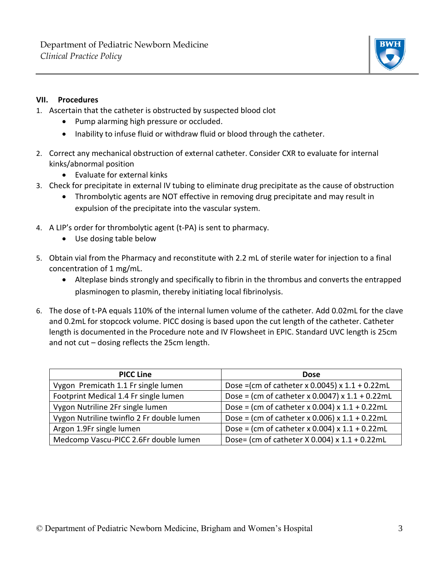

## **VII. Procedures**

- 1. Ascertain that the catheter is obstructed by suspected blood clot
	- Pump alarming high pressure or occluded.
	- Inability to infuse fluid or withdraw fluid or blood through the catheter.
- 2. Correct any mechanical obstruction of external catheter. Consider CXR to evaluate for internal kinks/abnormal position
	- Evaluate for external kinks
- 3. Check for precipitate in external IV tubing to eliminate drug precipitate as the cause of obstruction
	- Thrombolytic agents are NOT effective in removing drug precipitate and may result in expulsion of the precipitate into the vascular system.
- 4. A LIP's order for thrombolytic agent (t-PA) is sent to pharmacy.
	- Use dosing table below
- 5. Obtain vial from the Pharmacy and reconstitute with 2.2 mL of sterile water for injection to a final concentration of 1 mg/mL.
	- Alteplase binds strongly and specifically to fibrin in the thrombus and converts the entrapped plasminogen to plasmin, thereby initiating local fibrinolysis.
- 6. The dose of t-PA equals 110% of the internal lumen volume of the catheter. Add 0.02mL for the clave and 0.2mL for stopcock volume. PICC dosing is based upon the cut length of the catheter. Catheter length is documented in the Procedure note and IV Flowsheet in EPIC. Standard UVC length is 25cm and not cut – dosing reflects the 25cm length.

| <b>PICC Line</b>                          | <b>Dose</b>                                                           |
|-------------------------------------------|-----------------------------------------------------------------------|
| Vygon Premicath 1.1 Fr single lumen       | Dose = $\text{(cm of catheter x 0.0045)} \times 1.1 + 0.22 \text{mL}$ |
| Footprint Medical 1.4 Fr single lumen     | Dose = (cm of catheter x 0.0047) x $1.1 + 0.22$ mL                    |
| Vygon Nutriline 2Fr single lumen          | Dose = (cm of catheter x 0.004) x $1.1 + 0.22$ mL                     |
| Vygon Nutriline twinflo 2 Fr double lumen | Dose = (cm of catheter x 0.006) x $1.1 + 0.22$ mL                     |
| Argon 1.9Fr single lumen                  | Dose = (cm of catheter x 0.004) x $1.1 + 0.22$ mL                     |
| Medcomp Vascu-PICC 2.6Fr double lumen     | Dose= (cm of catheter X 0.004) x 1.1 + 0.22mL                         |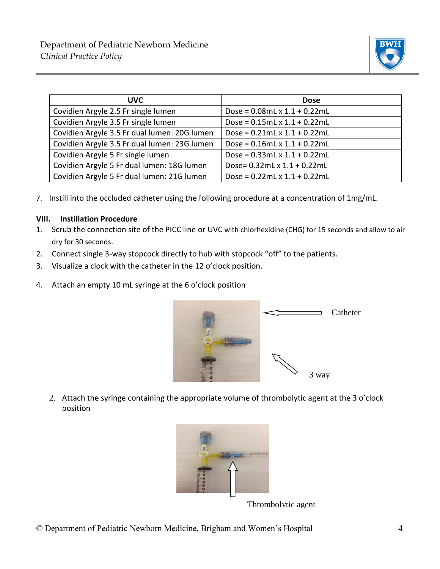

| <b>UVC</b>                                   | <b>Dose</b>                        |
|----------------------------------------------|------------------------------------|
| Covidien Argyle 2.5 Fr single lumen          | Dose = $0.08$ mL x $1.1 + 0.22$ mL |
| Covidien Argyle 3.5 Fr single lumen          | Dose = $0.15$ mL x $1.1 + 0.22$ mL |
| Covidien Argyle 3.5 Fr dual lumen: 20G lumen | Dose = $0.21$ mL x $1.1 + 0.22$ mL |
| Covidien Argyle 3.5 Fr dual lumen: 23G lumen | Dose = $0.16$ mL x $1.1 + 0.22$ mL |
| Covidien Argyle 5 Fr single lumen            | Dose = $0.33$ mL x $1.1 + 0.22$ mL |
| Covidien Argyle 5 Fr dual lumen: 18G lumen   | Dose= 0.32mL x 1.1 + 0.22mL        |
| Covidien Argyle 5 Fr dual lumen: 21G lumen   | Dose = $0.22$ mL x $1.1 + 0.22$ mL |

7. Instill into the occluded catheter using the following procedure at a concentration of 1mg/mL.

### **VIII. Instillation Procedure**

- 1. Scrub the connection site of the PICC line or UVC with chlorhexidine (CHG) for 15 seconds and allow to air dry for 30 seconds.
- 2. Connect single 3-way stopcock directly to hub with stopcock "off" to the patients.
- 3. Visualize a clock with the catheter in the 12 o'clock position.
- 4. Attach an empty 10 mL syringe at the 6 o'clock position



2. Attach the syringe containing the appropriate volume of thrombolytic agent at the 3 o'clock position Store at a



Thrombolytic agent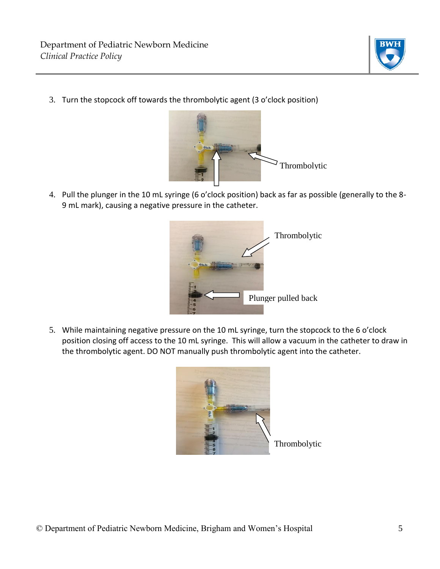

3. Turn the stopcock off towards the thrombolytic agent (3 o'clock position)



4. Pull the plunger in the 10 mL syringe (6 o'clock position) back as far as possible (generally to the 8- 9 mL mark), causing a negative pressure in the catheter.



5. While maintaining negative pressure on the 10 mL syringe, turn the stopcock to the 6 o'clock position closing off access to the 10 mL syringe. This will allow a vacuum in the catheter to draw in the thrombolytic agent. DO NOT manually push thrombolytic agent into the catheter.



Thrombolytic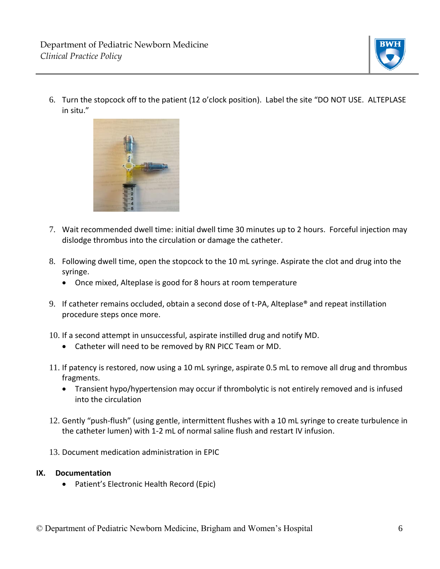

6. Turn the stopcock off to the patient (12 o'clock position). Label the site "DO NOT USE. ALTEPLASE in situ."



- 7. Wait recommended dwell time: initial dwell time 30 minutes up to 2 hours. Forceful injection may dislodge thrombus into the circulation or damage the catheter.
- 8. Following dwell time, open the stopcock to the 10 mL syringe. Aspirate the clot and drug into the syringe.
	- Once mixed, Alteplase is good for 8 hours at room temperature
- 9. If catheter remains occluded, obtain a second dose of t-PA, Alteplase® and repeat instillation procedure steps once more.
- 10. If a second attempt in unsuccessful, aspirate instilled drug and notify MD.
	- Catheter will need to be removed by RN PICC Team or MD.
- 11. If patency is restored, now using a 10 mL syringe, aspirate 0.5 mL to remove all drug and thrombus fragments.
	- Transient hypo/hypertension may occur if thrombolytic is not entirely removed and is infused into the circulation
- 12. Gently "push-flush" (using gentle, intermittent flushes with a 10 mL syringe to create turbulence in the catheter lumen) with 1-2 mL of normal saline flush and restart IV infusion.
- 13. Document medication administration in EPIC

### **IX. Documentation**

• Patient's Electronic Health Record (Epic)